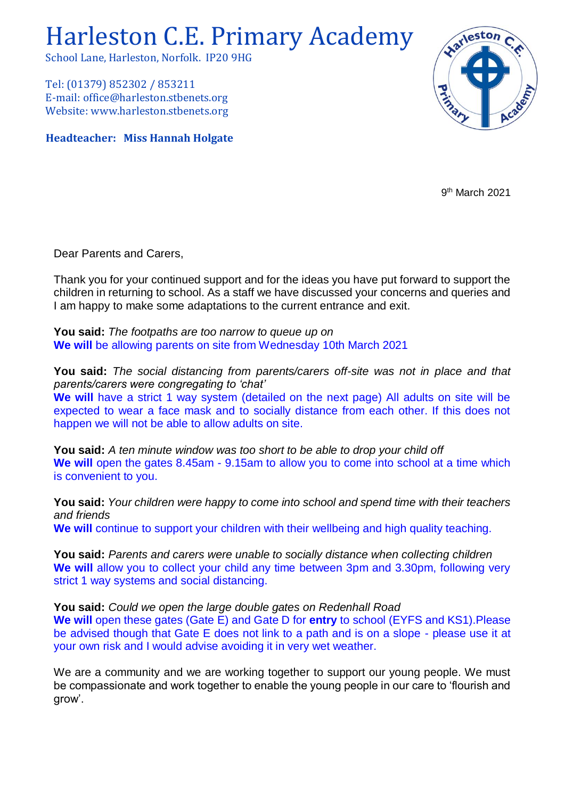# Harleston C.E. Primary Academy

School Lane, Harleston, Norfolk. IP20 9HG

Tel: (01379) 852302 / 853211 E-mail: office@harleston.stbenets.org Website: www.harleston.stbenets.org

**Headteacher: Miss Hannah Holgate**



9<sup>th</sup> March 2021

Dear Parents and Carers,

Thank you for your continued support and for the ideas you have put forward to support the children in returning to school. As a staff we have discussed your concerns and queries and I am happy to make some adaptations to the current entrance and exit.

**You said:** *The footpaths are too narrow to queue up on* **We will** be allowing parents on site from Wednesday 10th March 2021

**You said:** *The social distancing from parents/carers off-site was not in place and that parents/carers were congregating to 'chat'* We will have a strict 1 way system (detailed on the next page) All adults on site will be expected to wear a face mask and to socially distance from each other. If this does not happen we will not be able to allow adults on site.

**You said:** *A ten minute window was too short to be able to drop your child off*  **We will** open the gates 8.45am - 9.15am to allow you to come into school at a time which is convenient to you.

**You said:** *Your children were happy to come into school and spend time with their teachers and friends* We will continue to support your children with their wellbeing and high quality teaching.

**You said:** *Parents and carers were unable to socially distance when collecting children* We will allow you to collect your child any time between 3pm and 3.30pm, following very strict 1 way systems and social distancing.

**You said:** *Could we open the large double gates on Redenhall Road*

**We will** open these gates (Gate E) and Gate D for **entry** to school (EYFS and KS1).Please be advised though that Gate E does not link to a path and is on a slope - please use it at your own risk and I would advise avoiding it in very wet weather.

We are a community and we are working together to support our young people. We must be compassionate and work together to enable the young people in our care to 'flourish and grow'.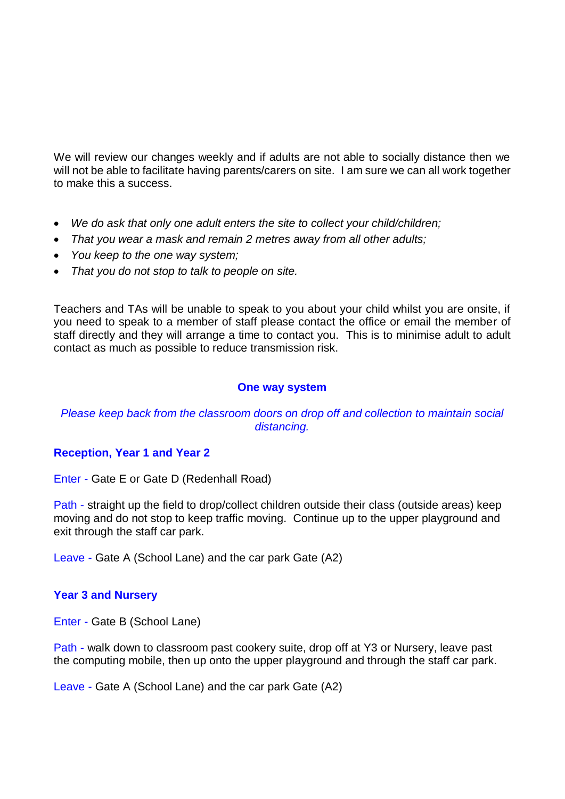We will review our changes weekly and if adults are not able to socially distance then we will not be able to facilitate having parents/carers on site. I am sure we can all work together to make this a success.

- *We do ask that only one adult enters the site to collect your child/children;*
- *That you wear a mask and remain 2 metres away from all other adults;*
- *You keep to the one way system;*
- *That you do not stop to talk to people on site.*

Teachers and TAs will be unable to speak to you about your child whilst you are onsite, if you need to speak to a member of staff please contact the office or email the member of staff directly and they will arrange a time to contact you. This is to minimise adult to adult contact as much as possible to reduce transmission risk.

#### **One way system**

### *Please keep back from the classroom doors on drop off and collection to maintain social distancing.*

#### **Reception, Year 1 and Year 2**

Enter - Gate E or Gate D (Redenhall Road)

Path - straight up the field to drop/collect children outside their class (outside areas) keep moving and do not stop to keep traffic moving. Continue up to the upper playground and exit through the staff car park.

Leave - Gate A (School Lane) and the car park Gate (A2)

#### **Year 3 and Nursery**

Enter - Gate B (School Lane)

Path - walk down to classroom past cookery suite, drop off at Y3 or Nursery, leave past the computing mobile, then up onto the upper playground and through the staff car park.

Leave - Gate A (School Lane) and the car park Gate (A2)